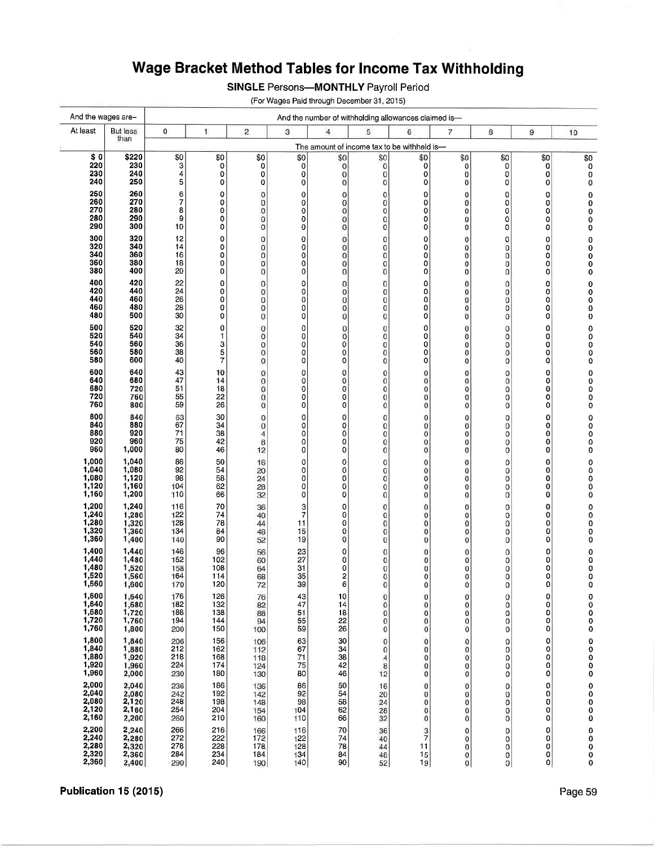## Wage Bracket Method Tables for Income Tax Withholding

**SINGLE Persons-MONTHLY Payroll Period** 

(For Wages Paid through December 31, 2015)

| And the wages are-                        |                         | And the number of withholding allowances claimed is- |                     |                            |                     |                          |                               |                     |                            |                               |                     |                                             |
|-------------------------------------------|-------------------------|------------------------------------------------------|---------------------|----------------------------|---------------------|--------------------------|-------------------------------|---------------------|----------------------------|-------------------------------|---------------------|---------------------------------------------|
| At least                                  | <b>But less</b><br>than | 0                                                    | $\mathbf{1}$        | $\overline{c}$             | 3                   | $\overline{4}$           | 5                             | 6                   | 7                          | 8                             | 9                   | 10                                          |
|                                           |                         | The amount of income tax to be withheld is-          |                     |                            |                     |                          |                               |                     |                            |                               |                     |                                             |
| \$0<br>220                                | \$220<br>230            | \$0<br>3                                             | \$0<br>0            | \$0<br>0                   | \$0<br>$\mathbf 0$  | \$0<br>$\mathbf{0}$      | \$0<br>$\bf{0}$               | \$0<br>0            | \$0<br>0                   | \$0<br>0                      | \$0<br>0            | \$0<br>0                                    |
| 230                                       | 240                     | 4                                                    | 0                   | 0                          | 0                   | $\mathbf 0$              | $\mathbf 0$                   | 0                   | 0                          | 0                             | 0                   | 0                                           |
| 240                                       | 250                     | 5                                                    | 0                   | 0                          | $\mathbf 0$         | $\overline{0}$           | 0                             | 0                   | 0                          | 0                             | 0                   | 0                                           |
| 250<br>260                                | 260<br>270              | 6<br>7                                               | 0<br>0              | 0<br>0                     | $\mathbf 0$<br>0    | $\mathbf 0$<br>0         | $\mathbf 0$<br>$\bf{0}$       | 0<br>0              | 0<br>0                     | 0<br>0                        | 0<br>0              | 0<br>0                                      |
| 270<br>280                                | 280<br>290              | 8<br>9                                               | 0                   | 0                          | 0                   | $\mathbf 0$              | 0                             | 0                   | $\bf{0}$                   | 0                             | 0                   | 0                                           |
| 290                                       | 300                     | 10                                                   | 0<br>0              | 0<br>0                     | 0<br>0              | $\bf{0}$<br>$\mathbf 0$  | $\mathbf 0$<br>$\overline{0}$ | 0<br>0              | 0<br>0                     | 0<br>0                        | 0<br>0              | 0<br>0                                      |
| 300                                       | 320                     | 12                                                   | 0                   | 0                          | $\bf{0}$            | $\mathbf 0$              | 0                             | 0                   | 0                          | 0                             | 0                   | 0                                           |
| 320<br>340                                | 340<br>360              | 14<br>16                                             | 0<br>0              | 0<br>0                     | $\overline{0}$<br>0 | $\mathbf{0}$<br>$\bf{0}$ | $\mathbf 0$<br>$\bf{0}$       | 0<br>0              | 0<br>0                     | 0<br>0                        | 0<br>0              | 0<br>0                                      |
| 360                                       | 380                     | 18                                                   | 0                   | 0                          | $\bf{0}$            | $\mathbf 0$              | $\bf{0}$                      | 0                   | 0                          | $\mathbf 0$                   | 0                   | 0                                           |
| 380<br>400                                | 400<br>420              | 20                                                   | 0<br>0              | 0                          | 0                   | 0                        | $\bf{0}$                      | 0                   | 0                          | 0                             | 0                   | 0                                           |
| 420                                       | 440                     | 22<br>24                                             | 0                   | $\bf{0}$<br>$\bf{0}$       | 0<br>0              | $\mathbf 0$<br>0         | 0<br>$\mathbf 0$              | 0<br>0              | 0<br>0                     | O<br>0                        | 0<br>0              | 0                                           |
| 440<br>460                                | 460<br>480              | 26<br>28                                             | 0<br>0              | $\bf 0$<br>0               | 0<br>0              | $\bf{0}$<br>$\mathbf 0$  | $\bf{0}$<br>0                 | 0<br>0              | 0<br>0                     | 0<br>0                        | 0<br>0              | $\begin{smallmatrix}0\0\0\end{smallmatrix}$ |
| 480                                       | 500                     | 30                                                   | 0                   | $\bf{0}$                   | 0                   | $\mathbf 0$              | $\bf{0}$                      | 0                   | 0                          | $\bf{0}$                      | 0                   | 0                                           |
| 500                                       | 520                     | 32                                                   | 0                   | $\mathbf{0}$               | 0                   | $\mathbf{O}$             | $\bf{0}$                      | 0                   | 0                          | 0                             | 0                   | 0                                           |
| 520<br>540                                | 540<br>560              | 34<br>36                                             | 1<br>з              | $\mathbf 0$<br>$\mathbf 0$ | 0<br>0              | $\bf{0}$<br>0            | $\bf{0}$<br>$\bf{0}$          | 0<br>0              | 0<br>$\bf{0}$              | $\mathbf 0$<br>$\mathbf 0$    | 0<br>0              | $\bar{0}$                                   |
| 560<br>580                                | 580<br>600              | 38<br>40                                             | 5<br>$\overline{7}$ | 0<br>$\mathbf 0$           | 0<br>O              | 0<br>0                   | $\bf{0}$<br>$\bf{0}$          | 0<br>0              | 0<br>$\bf{0}$              | $\bf{0}$<br>$\overline{0}$    | 0<br>0              | Ō<br>o                                      |
| 600                                       | 640                     | 43                                                   | 10                  | 0                          | 0                   | 0                        | 0                             | 0                   | 0                          | 0                             | 0                   | 0                                           |
| 640                                       | 680                     | 47                                                   | 14                  | $\mathbf{O}$               | 0                   | 0                        | $\bf{0}$                      | $\circ$             | 0                          | $\mathbf 0$                   | 0                   | 0                                           |
| 680<br>720                                | 720<br>760              | 51<br>55                                             | 18<br>22            | $\bf{0}$<br>$\bf 0$        | 0<br>0              | 0<br>0                   | $\bf{0}$<br>$\bf{0}$          | $\mathbf{O}$<br>0   | $\bf{0}$<br>0              | 0<br>$\mathbf 0$              | 0<br>0              | Ó<br>0                                      |
| 760                                       | 800                     | 59                                                   | 26                  | $\mathbf 0$                | $\mathbf 0$         | 0                        | $\bf{0}$                      | 0                   | $\bf 0$                    | 0                             | 0                   | 0                                           |
| 800<br>840                                | 840<br>880              | 63<br>67                                             | 30                  | 0                          | 0                   | 0                        | $\bf{0}$                      | 0                   | 0                          | 0                             | 0                   | 0                                           |
| 880                                       | 920                     | 71                                                   | 34<br>38            | $\mathbf{0}$<br>4          | 0<br>0              | 0<br>0                   | $\bf{0}$<br>$\bf{0}$          | 0<br>0              | 0<br>0                     | $\mathbf 0$<br>$\mathbf 0$    | 0<br>0              | 0<br>0                                      |
| 920<br>960                                | 960<br>1,000            | 75<br>80                                             | 42<br>46            | 8<br>12                    | 0<br>0              | 0<br>0                   | $\bf{0}$<br>$\bf{0}$          | $\Omega$<br>0       | $\pmb{0}$<br>0             | $\mathbf 0$<br>0              | 0<br>0              | 0<br>0                                      |
| 1,000                                     | 1,040                   | 86                                                   | 50                  | 16                         | 0                   | 0                        | $\mathbf 0$                   | 0                   | 0                          | 0                             | 0                   | 0                                           |
| 1,040                                     | 1,080                   | 92                                                   | 54                  | 20                         | 0                   | 0                        | $\bf{0}$                      | 0                   | 0                          | O                             | 0                   | 0                                           |
| $1,080$<br>$1,120$                        | 1,120<br>1,160          | 98<br>104                                            | 58<br>62            | 24<br>28                   | 0<br>0              | 0<br>0                   | $\bf{0}$<br>$\bf{0}$          | 0<br>0              | 0<br>$\pmb{0}$             | o<br>$\overline{0}$           | 0<br>0              | 0<br>0                                      |
| 1,160                                     | 1,200                   | 110                                                  | 66                  | 32                         | 0                   | 0                        | $\bf{0}$                      | 0                   | $\bf{0}$                   | 0                             | 0                   | 0                                           |
| 1,200                                     | 1,240<br>1,280          | 116<br>122                                           | 70<br>74            | 36<br>40                   | $\frac{3}{7}$       | 0<br>0                   | $\bf{0}$<br>$\bf{0}$          | 0<br>0              | 0<br>0                     | $\mathbf 0$<br>Ö              | 0<br>0              | 0<br>0                                      |
| $1,240$<br>$1,280$                        | 1,320                   | 128                                                  | 78                  | 44                         | 11                  | 0                        | $\bf{0}$                      | 0                   | $\mathbf 0$                | $\overline{0}$                | 0                   | 0                                           |
| 1,320<br>1,360                            | 1,360<br>1,400          | 134<br>140                                           | 84<br>90            | 48<br>52                   | 15<br>19            | 0<br>0                   | $\bf{0}$<br>$\bf{0}$          | 0<br>0              | 0<br>$\mathbf 0$           | $\mathbf 0$<br>0              | 0<br>0              | 0<br>0                                      |
| 1,400                                     | 1,440                   | 146                                                  | 96                  | 56                         | 23                  | 0                        | $\bf{0}$                      | 0                   | 0                          | Ö                             | 0                   | 0                                           |
| 1,440                                     | 1,480<br>1,520          | 152<br>158                                           | 102<br>108          | 60<br>64                   | 27<br>31            | 0<br>0                   | $\mathbf 0$<br>$\bf{0}$       | 0<br>0              | 0<br>0                     | $\mathbf 0$<br>$\mathbf 0$    | 0<br>0              | 0                                           |
| $1,480$<br>$1,520$                        | 1,560                   | 164                                                  | 114                 | 68                         | 35                  | 2                        | $\mathbf 0$                   | 0                   | $\mathbf 0$                | $\mathbf 0$                   | 0                   | 0<br>0                                      |
| 1,560                                     | 1,600                   | 170                                                  | 120                 | 72                         | 39                  | 6                        | $\Omega$                      | $\mathbf{0}$        | $\mathbf{0}$               | 0                             | $\Omega$            | 0                                           |
| 1,600<br>1,640<br>1,680<br>1,720          | 1,640<br>1,680          | 176<br>182                                           | 126<br>132          | 76<br>82                   | 43<br>47            | 10<br>14                 | 0<br>$\overline{0}$           | 0<br>0              | 0<br>$\bf{0}$              | $^{\rm o}_{\rm o}$            | 0<br>0              | 0<br>0                                      |
|                                           | 1,720<br>1,760          | 188<br>194                                           | 138                 | 88                         | 51                  | 18                       | $\mathbf 0$<br>$\mathbf{0}$   | 0                   | $\mathbf 0$<br>$\mathbf 0$ | $\mathbf 0$<br>$\overline{0}$ | 0                   | 0                                           |
| 1,760                                     | 1,800                   | 200                                                  | 144<br>150          | 94<br>100                  | 55<br>59            | 22<br>26                 | $\mathbf 0$                   | 0<br>$\overline{0}$ | $\mathbf 0$                | $\mathbf 0$                   | 0<br>0              | 0<br>0                                      |
| 1,800                                     | 1,840                   | 206                                                  | 156                 | 106                        | 63<br>67            | 30                       | $\mathbf 0$                   | $\bf{0}$            | $\bf{0}$                   | 0                             | 0                   |                                             |
| $1,840$<br>$1,880$                        | 1,880<br>1,920          | 212<br>218                                           | 162<br>168          | 112<br>118                 | $\overline{71}$     | 34<br>38                 | $\mathbf 0$<br>$\overline{4}$ | 0<br>0              | $\bf 0$<br>$\mathbf 0$     | 0<br>0                        | 0<br>0              |                                             |
| 1,920                                     | 1,960                   | 224                                                  | 174                 | 124                        | $\frac{75}{80}$     | 42                       | 8                             | 0                   | $\mathbf 0$                | 0                             | 0                   | 0000                                        |
| 1,960                                     | 2,000<br>2,040          | 230                                                  | 180                 | 130                        |                     | 46                       | 12                            | 0                   | $\mathbf 0$                | 0                             | 0                   |                                             |
| 2,000<br>2,040<br>2,080<br>2,120<br>2,120 | 2,080                   | 236<br>242                                           | 186<br>192          | 136<br>142                 | 86<br>92            | 50<br>54                 | 16<br>20                      | 0<br>0              | 0<br>$\pmb{0}$             | 0<br>0                        | 0<br>0              | 00000                                       |
|                                           | 2,120<br>2,160          | 248<br>254                                           | 198<br>204          | 148<br>154                 | 98<br>104           | 58<br>62                 | 24<br>28                      | 0<br>0              | 0<br>$\pmb{0}$             | 0<br>0                        | 0<br>0              |                                             |
| 2,160                                     | 2,200                   | 260                                                  | 210                 | 160                        | 110                 | 66                       | 32                            | 0                   | $\mathbf 0$                | 0                             | 0                   |                                             |
|                                           | 2,240                   | 266                                                  | 216                 | 166                        | 116                 | 70                       | 36                            | 3                   | 0                          | 0                             | 0                   | 0                                           |
|                                           | 2,280<br>2,320          | 272<br>278                                           | 222<br>228          | 172<br>178                 | 122<br>128          | 74<br>78                 | 40<br>44                      | 7<br>11             | 0<br>$\bf{0}$              | 0<br>0                        | 0<br>0              | $\begin{smallmatrix}0\0\0\end{smallmatrix}$ |
| 2,200<br>2,240<br>2,280<br>2,320<br>2,360 | 2,360<br>2,400          | 284<br>290                                           | 234<br>240          | 184<br>190                 | 134<br>140          | 84<br>90                 | 48<br>52                      | 15<br>19            | 0<br>$\pmb{0}$             | 0<br>$\mathbf{O}$             | 0<br>$\mathfrak{o}$ | 0                                           |
|                                           |                         |                                                      |                     |                            |                     |                          |                               |                     |                            |                               |                     |                                             |